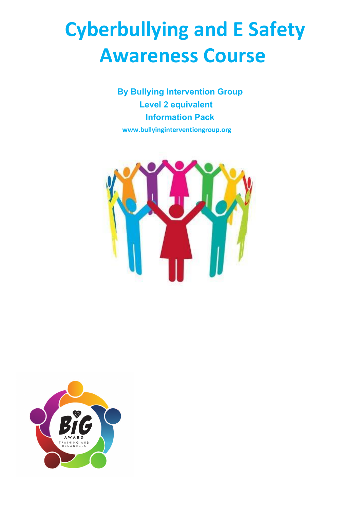## **Cyberbullying and E Safety Awareness Course**

**By Bullying Intervention Group Level 2 equivalent Information Pack www.bullyinginterventiongroup.org**



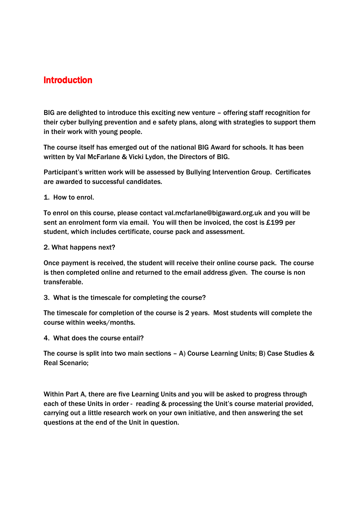## Introduction

BIG are delighted to introduce this exciting new venture – offering staff recognition for their cyber bullying prevention and e safety plans, along with strategies to support them in their work with young people.

The course itself has emerged out of the national BIG Award for schools. It has been written by Val McFarlane & Vicki Lydon, the Directors of BIG.

Participant's written work will be assessed by Bullying Intervention Group. Certificates are awarded to successful candidates.

1. How to enrol.

To enrol on this course, please contact val.mcfarlane@bigaward.org.uk and you will be sent an enrolment form via email. You will then be invoiced, the cost is £199 per student, which includes certificate, course pack and assessment.

2. What happens next?

Once payment is received, the student will receive their online course pack. The course is then completed online and returned to the email address given. The course is non transferable.

3. What is the timescale for completing the course?

The timescale for completion of the course is 2 years. Most students will complete the course within weeks/months.

4. What does the course entail?

The course is split into two main sections – A) Course Learning Units; B) Case Studies & Real Scenario;

Within Part A, there are five Learning Units and you will be asked to progress through each of these Units in order - reading & processing the Unit's course material provided, carrying out a little research work on your own initiative, and then answering the set questions at the end of the Unit in question.